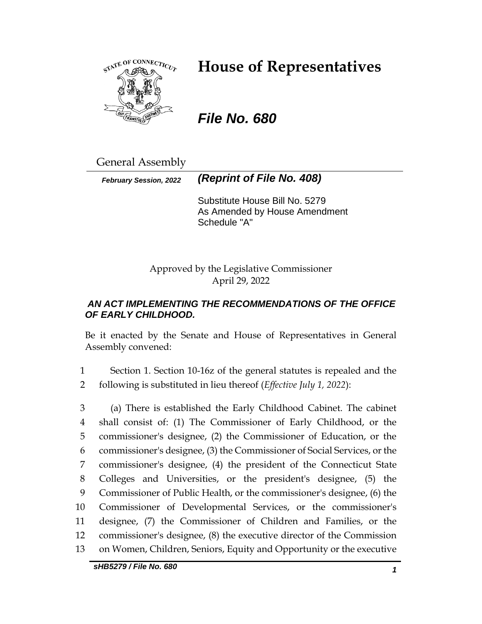

# **House of Representatives**

# *File No. 680*

General Assembly

*February Session, 2022 (Reprint of File No. 408)*

Substitute House Bill No. 5279 As Amended by House Amendment Schedule "A"

Approved by the Legislative Commissioner April 29, 2022

# *AN ACT IMPLEMENTING THE RECOMMENDATIONS OF THE OFFICE OF EARLY CHILDHOOD.*

Be it enacted by the Senate and House of Representatives in General Assembly convened:

1 Section 1. Section 10-16z of the general statutes is repealed and the 2 following is substituted in lieu thereof (*Effective July 1, 2022*):

 (a) There is established the Early Childhood Cabinet. The cabinet shall consist of: (1) The Commissioner of Early Childhood, or the commissioner's designee, (2) the Commissioner of Education, or the commissioner's designee, (3) the Commissioner of Social Services, or the commissioner's designee, (4) the president of the Connecticut State Colleges and Universities, or the president's designee, (5) the Commissioner of Public Health, or the commissioner's designee, (6) the Commissioner of Developmental Services, or the commissioner's designee, (7) the Commissioner of Children and Families, or the commissioner's designee, (8) the executive director of the Commission on Women, Children, Seniors, Equity and Opportunity or the executive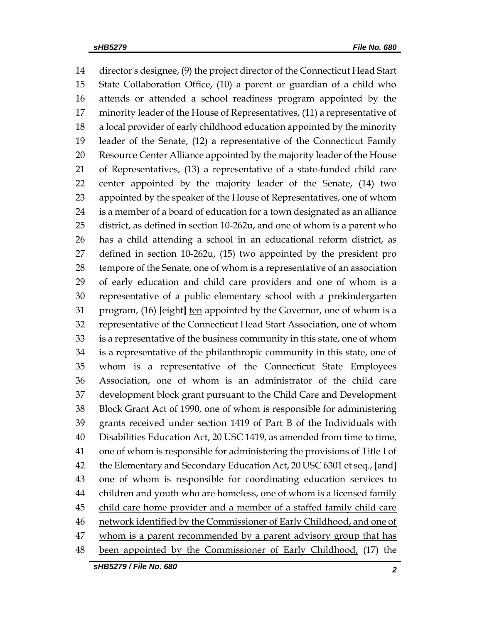director's designee, (9) the project director of the Connecticut Head Start State Collaboration Office, (10) a parent or guardian of a child who attends or attended a school readiness program appointed by the minority leader of the House of Representatives, (11) a representative of a local provider of early childhood education appointed by the minority leader of the Senate, (12) a representative of the Connecticut Family Resource Center Alliance appointed by the majority leader of the House of Representatives, (13) a representative of a state-funded child care center appointed by the majority leader of the Senate, (14) two appointed by the speaker of the House of Representatives, one of whom is a member of a board of education for a town designated as an alliance district, as defined in section 10-262u, and one of whom is a parent who has a child attending a school in an educational reform district, as defined in section 10-262u, (15) two appointed by the president pro tempore of the Senate, one of whom is a representative of an association of early education and child care providers and one of whom is a representative of a public elementary school with a prekindergarten program, (16) **[**eight**]** ten appointed by the Governor, one of whom is a representative of the Connecticut Head Start Association, one of whom is a representative of the business community in this state, one of whom is a representative of the philanthropic community in this state, one of whom is a representative of the Connecticut State Employees Association, one of whom is an administrator of the child care development block grant pursuant to the Child Care and Development Block Grant Act of 1990, one of whom is responsible for administering grants received under section 1419 of Part B of the Individuals with Disabilities Education Act, 20 USC 1419, as amended from time to time, one of whom is responsible for administering the provisions of Title I of the Elementary and Secondary Education Act, 20 USC 6301 et seq., **[**and**]** one of whom is responsible for coordinating education services to 44 children and youth who are homeless, one of whom is a licensed family child care home provider and a member of a staffed family child care 46 network identified by the Commissioner of Early Childhood, and one of 47 whom is a parent recommended by a parent advisory group that has been appointed by the Commissioner of Early Childhood, (17) the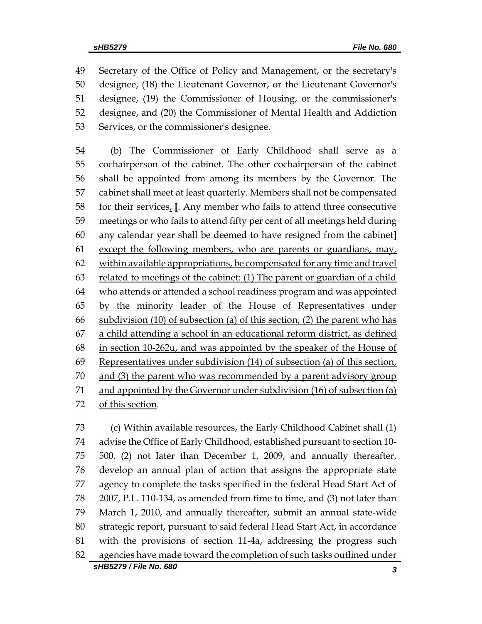Secretary of the Office of Policy and Management, or the secretary's designee, (18) the Lieutenant Governor, or the Lieutenant Governor's designee, (19) the Commissioner of Housing, or the commissioner's designee, and (20) the Commissioner of Mental Health and Addiction Services, or the commissioner's designee.

 (b) The Commissioner of Early Childhood shall serve as a cochairperson of the cabinet. The other cochairperson of the cabinet shall be appointed from among its members by the Governor. The cabinet shall meet at least quarterly. Members shall not be compensated 58 for their services,  $\left[$ . Any member who fails to attend three consecutive meetings or who fails to attend fifty per cent of all meetings held during any calendar year shall be deemed to have resigned from the cabinet**]**  61 except the following members, who are parents or guardians, may, 62 within available appropriations, be compensated for any time and travel 63 related to meetings of the cabinet: (1) The parent or guardian of a child who attends or attended a school readiness program and was appointed by the minority leader of the House of Representatives under subdivision (10) of subsection (a) of this section, (2) the parent who has a child attending a school in an educational reform district, as defined in section 10-262u, and was appointed by the speaker of the House of Representatives under subdivision (14) of subsection (a) of this section, and (3) the parent who was recommended by a parent advisory group and appointed by the Governor under subdivision (16) of subsection (a) of this section.

*sHB5279 / File No. 680 3* (c) Within available resources, the Early Childhood Cabinet shall (1) advise the Office of Early Childhood, established pursuant to section 10- 500, (2) not later than December 1, 2009, and annually thereafter, develop an annual plan of action that assigns the appropriate state agency to complete the tasks specified in the federal Head Start Act of 2007, P.L. 110-134, as amended from time to time, and (3) not later than March 1, 2010, and annually thereafter, submit an annual state-wide strategic report, pursuant to said federal Head Start Act, in accordance with the provisions of section 11-4a, addressing the progress such agencies have made toward the completion of such tasks outlined under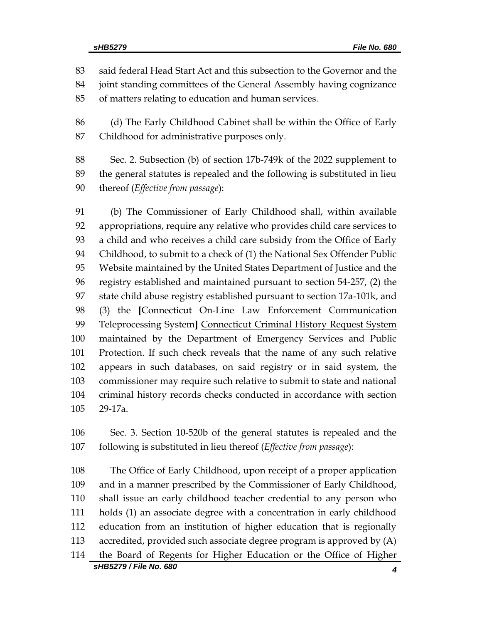said federal Head Start Act and this subsection to the Governor and the

joint standing committees of the General Assembly having cognizance

of matters relating to education and human services.

 (d) The Early Childhood Cabinet shall be within the Office of Early Childhood for administrative purposes only.

 Sec. 2. Subsection (b) of section 17b-749k of the 2022 supplement to the general statutes is repealed and the following is substituted in lieu thereof (*Effective from passage*):

 (b) The Commissioner of Early Childhood shall, within available appropriations, require any relative who provides child care services to a child and who receives a child care subsidy from the Office of Early Childhood, to submit to a check of (1) the National Sex Offender Public Website maintained by the United States Department of Justice and the registry established and maintained pursuant to section 54-257, (2) the state child abuse registry established pursuant to section 17a-101k, and (3) the **[**Connecticut On-Line Law Enforcement Communication Teleprocessing System**]** Connecticut Criminal History Request System maintained by the Department of Emergency Services and Public Protection. If such check reveals that the name of any such relative appears in such databases, on said registry or in said system, the commissioner may require such relative to submit to state and national criminal history records checks conducted in accordance with section 29-17a.

 Sec. 3. Section 10-520b of the general statutes is repealed and the following is substituted in lieu thereof (*Effective from passage*):

*sHB5279 / File No. 680 4* The Office of Early Childhood, upon receipt of a proper application and in a manner prescribed by the Commissioner of Early Childhood, shall issue an early childhood teacher credential to any person who holds (1) an associate degree with a concentration in early childhood education from an institution of higher education that is regionally accredited, provided such associate degree program is approved by (A) the Board of Regents for Higher Education or the Office of Higher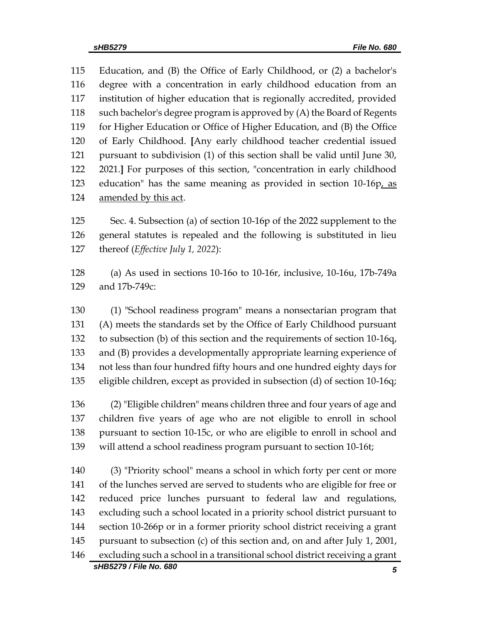Education, and (B) the Office of Early Childhood, or (2) a bachelor's degree with a concentration in early childhood education from an institution of higher education that is regionally accredited, provided such bachelor's degree program is approved by (A) the Board of Regents for Higher Education or Office of Higher Education, and (B) the Office of Early Childhood. **[**Any early childhood teacher credential issued pursuant to subdivision (1) of this section shall be valid until June 30, 2021.**]** For purposes of this section, "concentration in early childhood 123 education" has the same meaning as provided in section 10-16p, as amended by this act.

 Sec. 4. Subsection (a) of section 10-16p of the 2022 supplement to the general statutes is repealed and the following is substituted in lieu thereof (*Effective July 1, 2022*):

 (a) As used in sections 10-16o to 10-16r, inclusive, 10-16u, 17b-749a and 17b-749c:

 (1) "School readiness program" means a nonsectarian program that (A) meets the standards set by the Office of Early Childhood pursuant to subsection (b) of this section and the requirements of section 10-16q, and (B) provides a developmentally appropriate learning experience of not less than four hundred fifty hours and one hundred eighty days for eligible children, except as provided in subsection (d) of section 10-16q;

 (2) "Eligible children" means children three and four years of age and children five years of age who are not eligible to enroll in school pursuant to section 10-15c, or who are eligible to enroll in school and will attend a school readiness program pursuant to section 10-16t;

*sHB5279 / File No. 680 5* (3) "Priority school" means a school in which forty per cent or more of the lunches served are served to students who are eligible for free or reduced price lunches pursuant to federal law and regulations, excluding such a school located in a priority school district pursuant to section 10-266p or in a former priority school district receiving a grant pursuant to subsection (c) of this section and, on and after July 1, 2001, excluding such a school in a transitional school district receiving a grant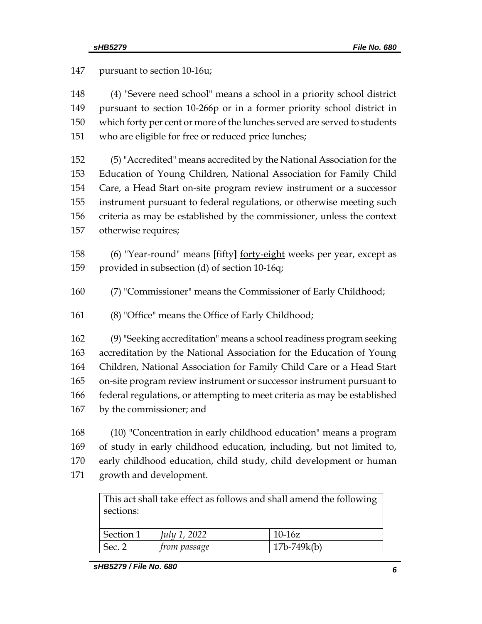pursuant to section 10-16u; (4) "Severe need school" means a school in a priority school district pursuant to section 10-266p or in a former priority school district in which forty per cent or more of the lunches served are served to students who are eligible for free or reduced price lunches; (5) "Accredited" means accredited by the National Association for the Education of Young Children, National Association for Family Child Care, a Head Start on-site program review instrument or a successor instrument pursuant to federal regulations, or otherwise meeting such criteria as may be established by the commissioner, unless the context otherwise requires; (6) "Year-round" means **[**fifty**]** forty-eight weeks per year, except as provided in subsection (d) of section 10-16q; (7) "Commissioner" means the Commissioner of Early Childhood; (8) "Office" means the Office of Early Childhood; (9) "Seeking accreditation" means a school readiness program seeking accreditation by the National Association for the Education of Young Children, National Association for Family Child Care or a Head Start on-site program review instrument or successor instrument pursuant to federal regulations, or attempting to meet criteria as may be established by the commissioner; and (10) "Concentration in early childhood education" means a program of study in early childhood education, including, but not limited to, early childhood education, child study, child development or human growth and development. This act shall take effect as follows and shall amend the following sections:

| Section 1         | July 1, 2022 | $10-16z$      |
|-------------------|--------------|---------------|
| Sec. <sup>o</sup> | from passage | $17b-749k(b)$ |
|                   |              |               |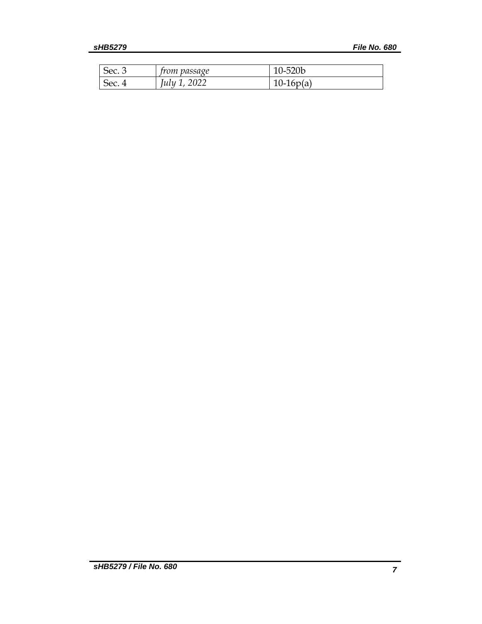| Sec. 3 | <i>from passage</i> | 10-520b     |
|--------|---------------------|-------------|
| Sec.   | 2022<br>lulu        | $10-16p(a)$ |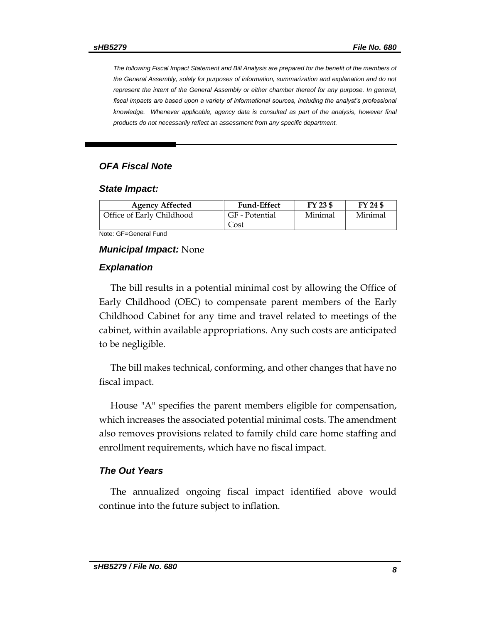*The following Fiscal Impact Statement and Bill Analysis are prepared for the benefit of the members of the General Assembly, solely for purposes of information, summarization and explanation and do not represent the intent of the General Assembly or either chamber thereof for any purpose. In general,*  fiscal impacts are based upon a variety of informational sources, including the analyst's professional knowledge. Whenever applicable, agency data is consulted as part of the analysis, however final *products do not necessarily reflect an assessment from any specific department.*

## *OFA Fiscal Note*

#### *State Impact:*

| <b>Agency Affected</b>                          | <b>Fund-Effect</b>     | FY 23 \$ | FY 24 \$ |  |
|-------------------------------------------------|------------------------|----------|----------|--|
| Office of Early Childhood                       | GF - Potential<br>Cost | Minimal  | Minimal  |  |
| $\cdots$ $\sim$ $\sim$ $\cdots$ $\sim$ $\cdots$ |                        |          |          |  |

Note: GF=General Fund

#### *Municipal Impact:* None

#### *Explanation*

The bill results in a potential minimal cost by allowing the Office of Early Childhood (OEC) to compensate parent members of the Early Childhood Cabinet for any time and travel related to meetings of the cabinet, within available appropriations. Any such costs are anticipated to be negligible.

The bill makes technical, conforming, and other changes that have no fiscal impact.

House "A" specifies the parent members eligible for compensation, which increases the associated potential minimal costs. The amendment also removes provisions related to family child care home staffing and enrollment requirements, which have no fiscal impact.

### *The Out Years*

The annualized ongoing fiscal impact identified above would continue into the future subject to inflation.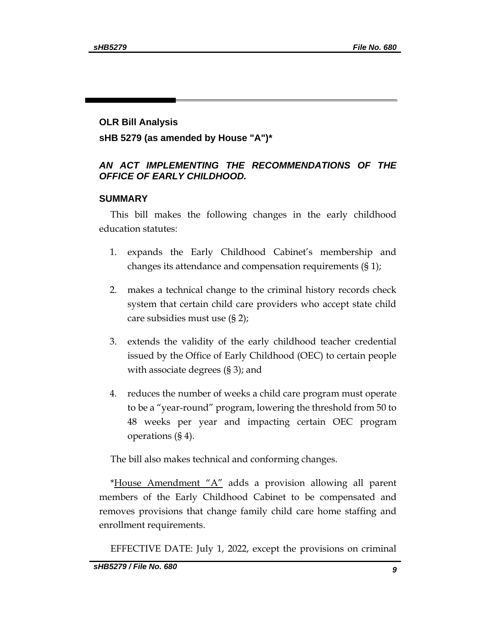## **OLR Bill Analysis**

**sHB 5279 (as amended by House "A")\***

# *AN ACT IMPLEMENTING THE RECOMMENDATIONS OF THE OFFICE OF EARLY CHILDHOOD.*

## **SUMMARY**

This bill makes the following changes in the early childhood education statutes:

- 1. expands the Early Childhood Cabinet's membership and changes its attendance and compensation requirements (§ 1);
- 2. makes a technical change to the criminal history records check system that certain child care providers who accept state child care subsidies must use (§ 2);
- 3. extends the validity of the early childhood teacher credential issued by the Office of Early Childhood (OEC) to certain people with associate degrees (§ 3); and
- 4. reduces the number of weeks a child care program must operate to be a "year-round" program, lowering the threshold from 50 to 48 weeks per year and impacting certain OEC program operations (§ 4).

The bill also makes technical and conforming changes.

\*House Amendment "A" adds a provision allowing all parent members of the Early Childhood Cabinet to be compensated and removes provisions that change family child care home staffing and enrollment requirements.

EFFECTIVE DATE: July 1, 2022, except the provisions on criminal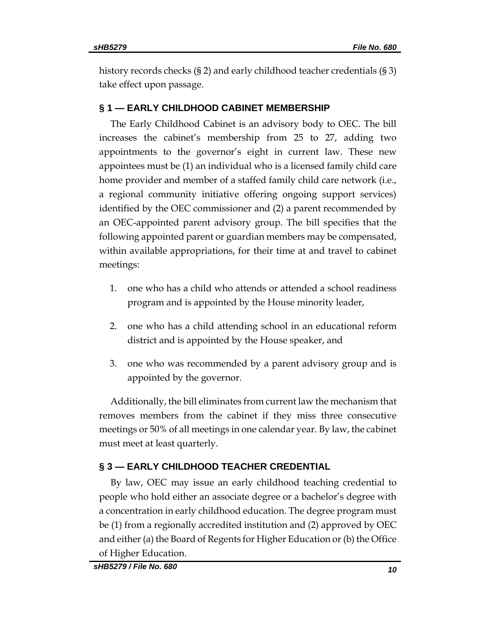history records checks (§ 2) and early childhood teacher credentials (§ 3) take effect upon passage.

# **§ 1 — EARLY CHILDHOOD CABINET MEMBERSHIP**

The Early Childhood Cabinet is an advisory body to OEC. The bill increases the cabinet's membership from 25 to 27, adding two appointments to the governor's eight in current law. These new appointees must be (1) an individual who is a licensed family child care home provider and member of a staffed family child care network (i.e., a regional community initiative offering ongoing support services) identified by the OEC commissioner and (2) a parent recommended by an OEC-appointed parent advisory group. The bill specifies that the following appointed parent or guardian members may be compensated, within available appropriations, for their time at and travel to cabinet meetings:

- 1. one who has a child who attends or attended a school readiness program and is appointed by the House minority leader,
- 2. one who has a child attending school in an educational reform district and is appointed by the House speaker, and
- 3. one who was recommended by a parent advisory group and is appointed by the governor.

Additionally, the bill eliminates from current law the mechanism that removes members from the cabinet if they miss three consecutive meetings or 50% of all meetings in one calendar year. By law, the cabinet must meet at least quarterly.

# **§ 3 — EARLY CHILDHOOD TEACHER CREDENTIAL**

By law, OEC may issue an early childhood teaching credential to people who hold either an associate degree or a bachelor's degree with a concentration in early childhood education. The degree program must be (1) from a regionally accredited institution and (2) approved by OEC and either (a) the Board of Regents for Higher Education or (b) the Office of Higher Education.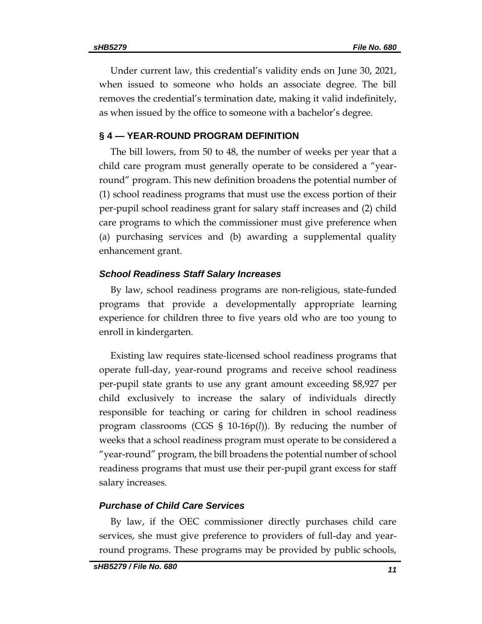Under current law, this credential's validity ends on June 30, 2021, when issued to someone who holds an associate degree. The bill removes the credential's termination date, making it valid indefinitely, as when issued by the office to someone with a bachelor's degree.

### **§ 4 — YEAR-ROUND PROGRAM DEFINITION**

The bill lowers, from 50 to 48, the number of weeks per year that a child care program must generally operate to be considered a "yearround" program. This new definition broadens the potential number of (1) school readiness programs that must use the excess portion of their per-pupil school readiness grant for salary staff increases and (2) child care programs to which the commissioner must give preference when (a) purchasing services and (b) awarding a supplemental quality enhancement grant.

#### *School Readiness Staff Salary Increases*

By law, school readiness programs are non-religious, state-funded programs that provide a developmentally appropriate learning experience for children three to five years old who are too young to enroll in kindergarten.

Existing law requires state-licensed school readiness programs that operate full-day, year-round programs and receive school readiness per-pupil state grants to use any grant amount exceeding \$8,927 per child exclusively to increase the salary of individuals directly responsible for teaching or caring for children in school readiness program classrooms (CGS § 10-16p(*l*)). By reducing the number of weeks that a school readiness program must operate to be considered a "year-round" program, the bill broadens the potential number of school readiness programs that must use their per-pupil grant excess for staff salary increases.

## *Purchase of Child Care Services*

By law, if the OEC commissioner directly purchases child care services, she must give preference to providers of full-day and yearround programs. These programs may be provided by public schools,